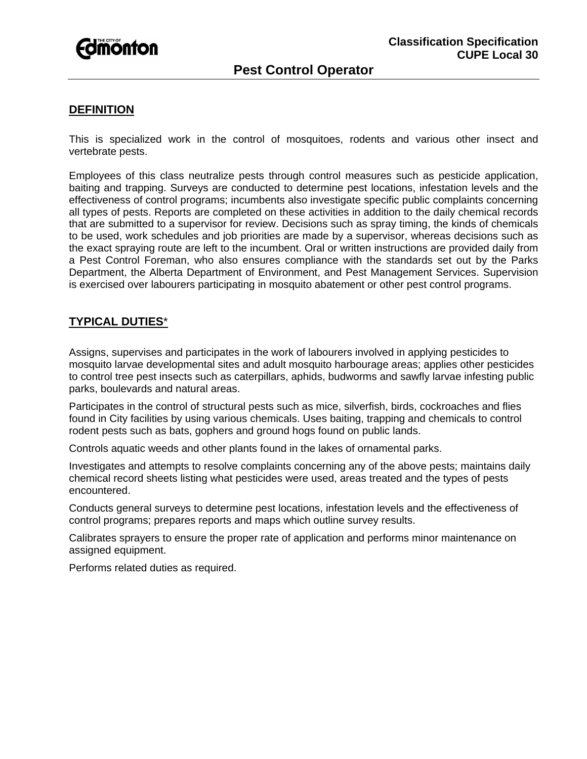

## **DEFINITION**

This is specialized work in the control of mosquitoes, rodents and various other insect and vertebrate pests.

Employees of this class neutralize pests through control measures such as pesticide application, baiting and trapping. Surveys are conducted to determine pest locations, infestation levels and the effectiveness of control programs; incumbents also investigate specific public complaints concerning all types of pests. Reports are completed on these activities in addition to the daily chemical records that are submitted to a supervisor for review. Decisions such as spray timing, the kinds of chemicals to be used, work schedules and job priorities are made by a supervisor, whereas decisions such as the exact spraying route are left to the incumbent. Oral or written instructions are provided daily from a Pest Control Foreman, who also ensures compliance with the standards set out by the Parks Department, the Alberta Department of Environment, and Pest Management Services. Supervision is exercised over labourers participating in mosquito abatement or other pest control programs.

# **TYPICAL DUTIES**\*

Assigns, supervises and participates in the work of labourers involved in applying pesticides to mosquito larvae developmental sites and adult mosquito harbourage areas; applies other pesticides to control tree pest insects such as caterpillars, aphids, budworms and sawfly larvae infesting public parks, boulevards and natural areas.

Participates in the control of structural pests such as mice, silverfish, birds, cockroaches and flies found in City facilities by using various chemicals. Uses baiting, trapping and chemicals to control rodent pests such as bats, gophers and ground hogs found on public lands.

Controls aquatic weeds and other plants found in the lakes of ornamental parks.

Investigates and attempts to resolve complaints concerning any of the above pests; maintains daily chemical record sheets listing what pesticides were used, areas treated and the types of pests encountered.

Conducts general surveys to determine pest locations, infestation levels and the effectiveness of control programs; prepares reports and maps which outline survey results.

Calibrates sprayers to ensure the proper rate of application and performs minor maintenance on assigned equipment.

Performs related duties as required.